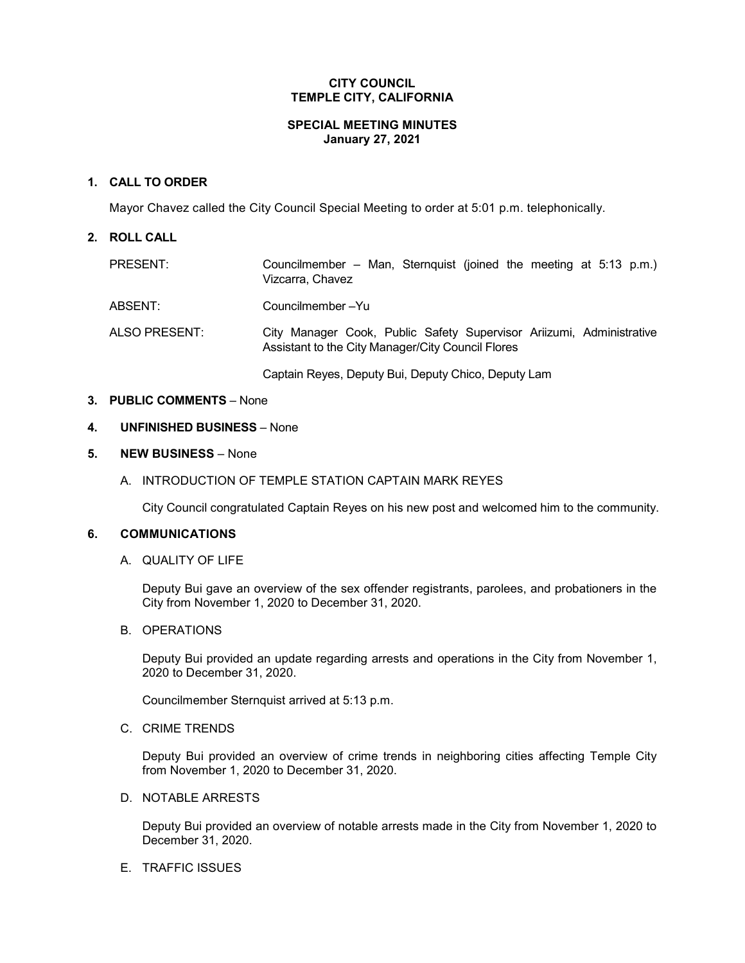## **CITY COUNCIL TEMPLE CITY, CALIFORNIA**

#### **SPECIAL MEETING MINUTES January 27, 2021**

## **1. CALL TO ORDER**

Mayor Chavez called the City Council Special Meeting to order at 5:01 p.m. telephonically.

## **2. ROLL CALL**

| <b>PRESENT:</b> | Councilmember – Man, Sternquist (joined the meeting at 5:13 p.m.)<br>Vizcarra, Chavez                                     |
|-----------------|---------------------------------------------------------------------------------------------------------------------------|
| ABSENT:         | Councilmember-Yu                                                                                                          |
| ALSO PRESENT:   | City Manager Cook, Public Safety Supervisor Ariizumi, Administrative<br>Assistant to the City Manager/City Council Flores |
|                 | Captain Reyes, Deputy Bui, Deputy Chico, Deputy Lam                                                                       |

# **3. PUBLIC COMMENTS** – None

#### **4. UNFINISHED BUSINESS** – None

## **5. NEW BUSINESS** – None

A. INTRODUCTION OF TEMPLE STATION CAPTAIN MARK REYES

City Council congratulated Captain Reyes on his new post and welcomed him to the community.

#### **6. COMMUNICATIONS**

A. QUALITY OF LIFE

Deputy Bui gave an overview of the sex offender registrants, parolees, and probationers in the City from November 1, 2020 to December 31, 2020.

B. OPERATIONS

Deputy Bui provided an update regarding arrests and operations in the City from November 1, 2020 to December 31, 2020.

Councilmember Sternquist arrived at 5:13 p.m.

C. CRIME TRENDS

Deputy Bui provided an overview of crime trends in neighboring cities affecting Temple City from November 1, 2020 to December 31, 2020.

D. NOTABLE ARRESTS

Deputy Bui provided an overview of notable arrests made in the City from November 1, 2020 to December 31, 2020.

#### E. TRAFFIC ISSUES